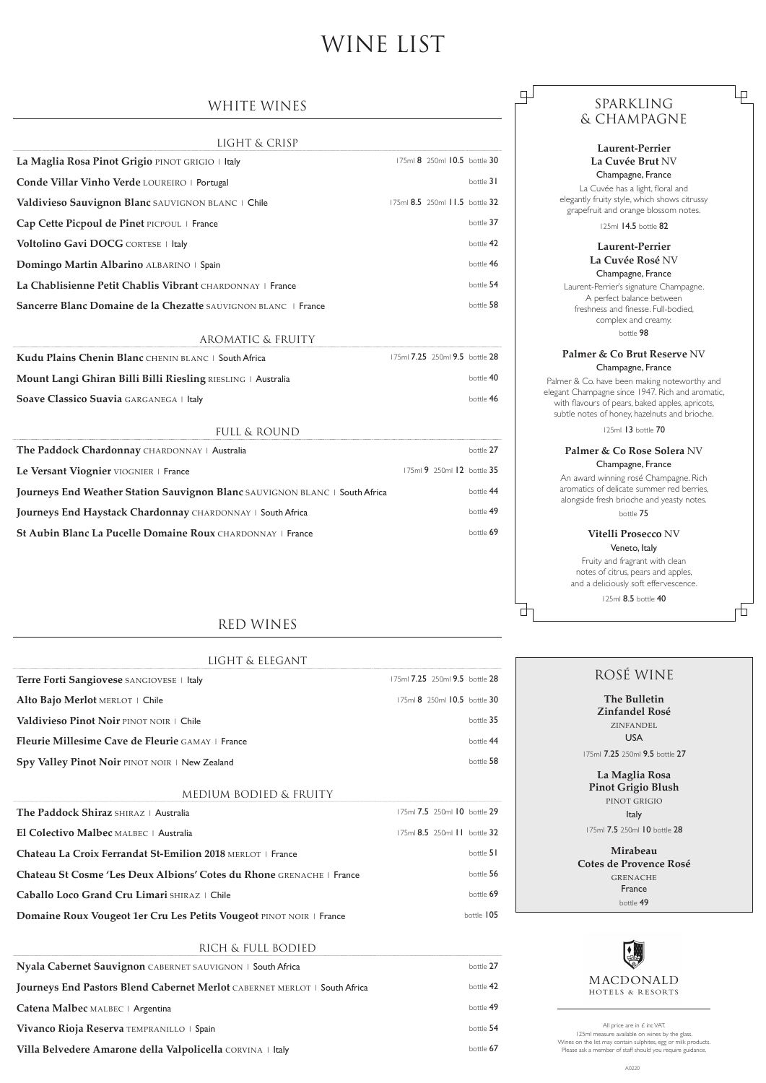# SPARKLING & CHAMPAGNE

 $\Box$ 

Ѣ

中

 $\Box$ 

# **Laurent-Perrier La Cuvée Brut** NV Champagne, France

La Cuvée has a light, floral and elegantly fruity style, which shows citrussy grapefruit and orange blossom notes.

125ml 14.5 bottle 82

## **Laurent-Perrier La Cuvée Rosé** NV Champagne, France

Laurent-Perrier's signature Champagne. A perfect balance between freshness and finesse. Full-bodied, complex and creamy. bottle 98

### **Palmer & Co Brut Reserve** NV Champagne, France

Palmer & Co. have been making noteworthy and elegant Champagne since 1947. Rich and aromatic, with flavours of pears, baked apples, apricots, subtle notes of honey, hazelnuts and brioche.

125ml 13 bottle 70

### **Palmer & Co Rose Solera** NV Champagne, France

An award winning rosé Champagne. Rich aromatics of delicate summer red berries, alongside fresh brioche and yeasty notes. bottle 75

## **Vitelli Prosecco** NV Veneto, Italy

Fruity and fragrant with clean notes of citrus, pears and apples, and a deliciously soft effervescence.

125ml 8.5 bottle 40

All price are in £ inc VAT. 125ml measure available on wines by the glass. Wines on the list may contain sulphites, egg or milk products. Please ask a member of staff should you require guidance.

# WINE LIST

# ROSÉ WINE

**The Bulletin Zinfandel Rosé**  ZINFANDEL USA

175ml 7.25 250ml 9.5 bottle 27

# LIGHT & ELEGANT **Terre Forti Sangiovese** SANGIOVESE | Italy 175ml 7.25 250ml 9.5 bottle 28 Alto Bajo Merlot MERLOT | Chile 175ml 8 250ml 10.5 bottle 30 **Valdivieso Pinot Noir** PINOT NOIR | Chile **bottle 35 Fleurie Millesime Cave de Fleurie** GAMAY | France bottle 44 **Spy Valley Pinot Noir PINOT NOIR | New Zealand bottle 58**

**La Maglia Rosa Pinot Grigio Blush**  PINOT GRIGIO Italy

#### **El Colectivo Malbec** MALBEC | Australia 175ml 8.5 250ml 11 bottle 32

#### **Chateau La Croix Ferrandat St-Emilion 2018** MERLOT | France bottle 51

**Chateau St Cosme 'Les Deux Albions' Cotes du Rhone** GRENACHE | France bottle 56

**Caballo Loco Grand Cru Limari** SHIRAZ | Chile **Capallo 2018 Caballo Loco Grand Cru Limari** SHIRAZ | Chile **69** 

**Domaine Roux Vougeot 1er Cru Les Petits Vougeot PINOT NOIR | France bottle 105** bottle 105

175ml 7.5 250ml 10 bottle 28

| <b>Mirabeau</b>        |
|------------------------|
| Cotes de Provence Rosé |
| <b>GRENACHE</b>        |
| France                 |
| $h$ ottle 49           |
|                        |



MACDONALD HOTELS & RESORTS

# WHITE WINES

| LIGHT & CRISP                                                  |                                |           |
|----------------------------------------------------------------|--------------------------------|-----------|
| La Maglia Rosa Pinot Grigio PINOT GRIGIO   Italy               | 175ml 8 250ml 10.5 bottle 30   |           |
| Conde Villar Vinho Verde LOUREIRO   Portugal                   |                                | bottle 31 |
| Valdivieso Sauvignon Blanc SAUVIGNON BLANC   Chile             | 175ml 8.5 250ml 11.5 bottle 32 |           |
| Cap Cette Picpoul de Pinet PICPOUL   France                    |                                | bottle 37 |
| Voltolino Gavi DOCG CORTESE   Italy                            |                                | bottle 42 |
| Domingo Martin Albarino ALBARINO   Spain                       |                                | bottle 46 |
| La Chablisienne Petit Chablis Vibrant CHARDONNAY   France      |                                | bottle 54 |
| Sancerre Blanc Domaine de la Chezatte SAUVIGNON BLANC   France |                                | bottle 58 |

#### AROMATIC & FRUITY

| Kudu Plains Chenin Blanc CHENIN BLANC   South Africa         | 175ml 7.25 250ml 9.5 bottle 28 |           |
|--------------------------------------------------------------|--------------------------------|-----------|
| Mount Langi Ghiran Billi Billi Riesling RIESLING   Australia |                                | bottle 40 |
| Soave Classico Suavia GARGANEGA   Italy                      |                                | bottle 46 |

#### FULL & ROUND

| The Paddock Chardonnay CHARDONNAY   Australia                               | bottle 27                  |
|-----------------------------------------------------------------------------|----------------------------|
| Le Versant Viognier VIOGNIER   France                                       | 175ml 9 250ml 12 bottle 35 |
| Journeys End Weather Station Sauvignon Blanc SAUVIGNON BLANC   South Africa | bottle 44                  |
| Journeys End Haystack Chardonnay CHARDONNAY   South Africa                  | bottle 49                  |
| St Aubin Blanc La Pucelle Domaine Roux CHARDONNAY   France                  | bottle 69                  |
|                                                                             |                            |

# RED WINES

#### MEDIUM BODIED & FRUITY

**The Paddock Shiraz** SHIRAZ | Australia 175ml 7.5 250ml 10 bottle 29

## RICH & FULL BODIED

| Nyala Cabernet Sauvignon CABERNET SAUVIGNON   South Africa                |           |  |
|---------------------------------------------------------------------------|-----------|--|
| Journeys End Pastors Blend Cabernet Merlot CABERNET MERLOT   South Africa | bottle 42 |  |
| Catena Malbec MALBEC   Argentina                                          | bottle 49 |  |
| Vivanco Rioja Reserva TEMPRANILLO   Spain                                 | bottle 54 |  |
| Villa Belvedere Amarone della Valpolicella CORVINA   Italy                | bottle 67 |  |